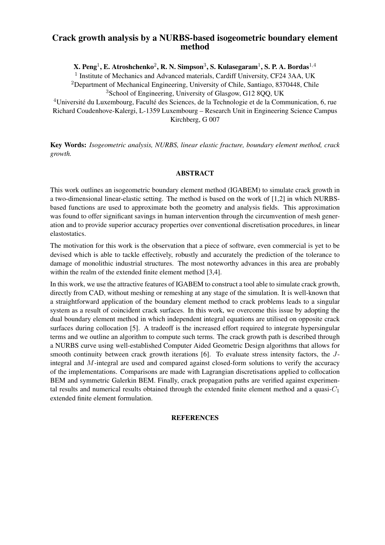## Crack growth analysis by a NURBS-based isogeometric boundary element method

X. Peng $^1$ , E. Atroshchenko $^2$ , R. N. Simpson $^3$ , S. Kulasegaram $^1$ , S. P. A. Bordas $^{1,4}$ 

<sup>1</sup> Institute of Mechanics and Advanced materials, Cardiff University, CF24 3AA, UK <sup>2</sup>Department of Mechanical Engineering, University of Chile, Santiago, 8370448, Chile <sup>3</sup>School of Engineering, University of Glasgow, G12 8QQ, UK

<sup>4</sup>Université du Luxembourg, Faculté des Sciences, de la Technologie et de la Communication, 6, rue Richard Coudenhove-Kalergi, L-1359 Luxembourg – Research Unit in Engineering Science Campus Kirchberg, G 007

Key Words: *Isogeometric analysis, NURBS, linear elastic fracture, boundary element method, crack growth.*

## ABSTRACT

This work outlines an isogeometric boundary element method (IGABEM) to simulate crack growth in a two-dimensional linear-elastic setting. The method is based on the work of [1,2] in which NURBSbased functions are used to approximate both the geometry and analysis fields. This approximation was found to offer significant savings in human intervention through the circumvention of mesh generation and to provide superior accuracy properties over conventional discretisation procedures, in linear elastostatics.

The motivation for this work is the observation that a piece of software, even commercial is yet to be devised which is able to tackle effectively, robustly and accurately the prediction of the tolerance to damage of monolithic industrial structures. The most noteworthy advances in this area are probably within the realm of the extended finite element method [3,4].

In this work, we use the attractive features of IGABEM to construct a tool able to simulate crack growth, directly from CAD, without meshing or remeshing at any stage of the simulation. It is well-known that a straightforward application of the boundary element method to crack problems leads to a singular system as a result of coincident crack surfaces. In this work, we overcome this issue by adopting the dual boundary element method in which independent integral equations are utilised on opposite crack surfaces during collocation [5]. A tradeoff is the increased effort required to integrate hypersingular terms and we outline an algorithm to compute such terms. The crack growth path is described through a NURBS curve using well-established Computer Aided Geometric Design algorithms that allows for smooth continuity between crack growth iterations [6]. To evaluate stress intensity factors, the Jintegral and M-integral are used and compared against closed-form solutions to verify the accuracy of the implementations. Comparisons are made with Lagrangian discretisations applied to collocation BEM and symmetric Galerkin BEM. Finally, crack propagation paths are verified against experimental results and numerical results obtained through the extended finite element method and a quasi- $C_1$ extended finite element formulation.

## **REFERENCES**